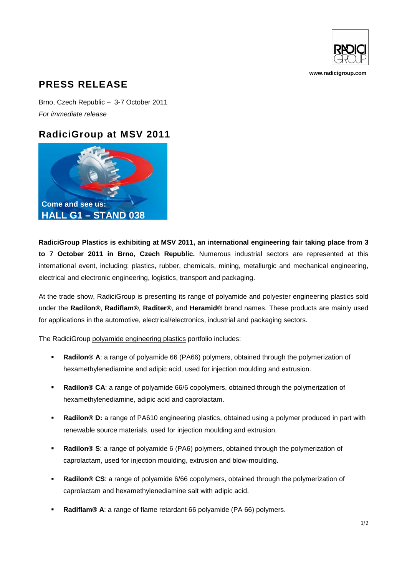

**www.radicigroup.com**

## **PRESS RELEASE**

Brno, Czech Republic – 3-7 October 2011 *For immediate release*

## **RadiciGroup at MSV 2011**



**RadiciGroup Plastics is exhibiting at MSV 2011, an international engineering fair taking place from 3 to 7 October 2011 in Brno, Czech Republic.** Numerous industrial sectors are represented at this international event, including: plastics, rubber, chemicals, mining, metallurgic and mechanical engineering, electrical and electronic engineering, logistics, transport and packaging.

At the trade show, RadiciGroup is presenting its range of polyamide and polyester engineering plastics sold under the **Radilon®**, **Radiflam®**, **Raditer®**, and **Heramid®** brand names. These products are mainly used for applications in the automotive, electrical/electronics, industrial and packaging sectors.

The RadiciGroup polyamide engineering plastics portfolio includes:

- **Radilon® A**: a range of polyamide 66 (PA66) polymers, obtained through the polymerization of hexamethylenediamine and adipic acid, used for injection moulding and extrusion.
- **Radilon® CA**: a range of polyamide 66/6 copolymers, obtained through the polymerization of hexamethylenediamine, adipic acid and caprolactam.
- **Radilon® D:** a range of PA610 engineering plastics, obtained using a polymer produced in part with renewable source materials, used for injection moulding and extrusion.
- **Radilon® S**: a range of polyamide 6 (PA6) polymers, obtained through the polymerization of caprolactam, used for injection moulding, extrusion and blow-moulding.
- **Radilon® CS**: a range of polyamide 6/66 copolymers, obtained through the polymerization of caprolactam and hexamethylenediamine salt with adipic acid.
- **Radiflam® A**: a range of flame retardant 66 polyamide (PA 66) polymers.